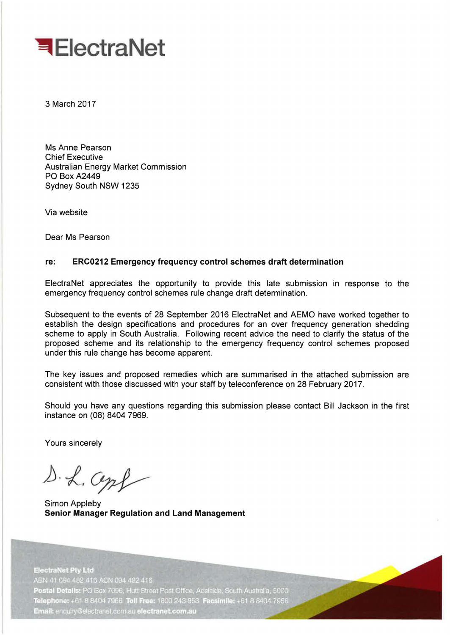

3 March 2017

Ms Anne Pearson Chief Executive Australian Energy Market Commission PO Box A2449 Sydney South NSW 1235

Via website

Dear Ms Pearson

#### **re: ERC0212 Emergency frequency control schemes draft determination**

ElectraNet appreciates the opportunity to provide this late submission in response to the emergency frequency control schemes rule change draft determination.

Subsequent to the events of 28 September 2016 ElectraNet and AEMO have worked together to establish the design specifications and procedures for an over frequency generation shedding scheme to apply in South Australia. Following recent advice the need to clarify the status of the proposed scheme and its relationship to the emergency frequency control schemes proposed under this rule change has become apparent.

The key issues and proposed remedies which are summarised in the attached submission are consistent with those discussed with your staff by teleconference on 28 February 2017.

Should you have any questions regarding this submission please contact Bill Jackson in the first instance on (08) 8404 7969.

Yours sincerely

D. L. Cepf

Simon Appleby **Senior Manager Regulation and Land Management** 

**ElectraNet Pty Ltd** ABN 41 094 482 416 ACN 094 482 416 Postal Details: PO Box 7096, Hutt Street Post Office, Adelaide, South Australia, 5000 Telephone: +61 8 8404 7966 Toll Free: 1800 243 853 Facsimile: +61 8 8404 7956 Email: enquiry@electranet.com.au electranet.com.au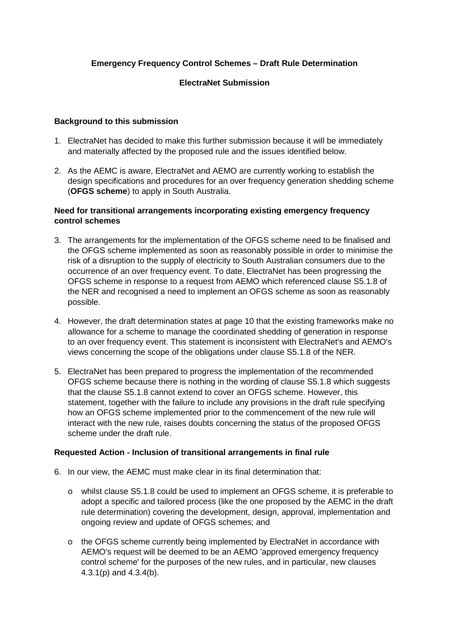# **Emergency Frequency Control Schemes – Draft Rule Determination**

## **ElectraNet Submission**

#### **Background to this submission**

- 1. ElectraNet has decided to make this further submission because it will be immediately and materially affected by the proposed rule and the issues identified below.
- 2. As the AEMC is aware, ElectraNet and AEMO are currently working to establish the design specifications and procedures for an over frequency generation shedding scheme (**OFGS scheme**) to apply in South Australia.

### **Need for transitional arrangements incorporating existing emergency frequency control schemes**

- 3. The arrangements for the implementation of the OFGS scheme need to be finalised and the OFGS scheme implemented as soon as reasonably possible in order to minimise the risk of a disruption to the supply of electricity to South Australian consumers due to the occurrence of an over frequency event. To date, ElectraNet has been progressing the OFGS scheme in response to a request from AEMO which referenced clause S5.1.8 of the NER and recognised a need to implement an OFGS scheme as soon as reasonably possible.
- 4. However, the draft determination states at page 10 that the existing frameworks make no allowance for a scheme to manage the coordinated shedding of generation in response to an over frequency event. This statement is inconsistent with ElectraNet's and AEMO's views concerning the scope of the obligations under clause S5.1.8 of the NER.
- 5. ElectraNet has been prepared to progress the implementation of the recommended OFGS scheme because there is nothing in the wording of clause S5.1.8 which suggests that the clause S5.1.8 cannot extend to cover an OFGS scheme. However, this statement, together with the failure to include any provisions in the draft rule specifying how an OFGS scheme implemented prior to the commencement of the new rule will interact with the new rule, raises doubts concerning the status of the proposed OFGS scheme under the draft rule.

#### **Requested Action - Inclusion of transitional arrangements in final rule**

- 6. In our view, the AEMC must make clear in its final determination that:
	- o whilst clause S5.1.8 could be used to implement an OFGS scheme, it is preferable to adopt a specific and tailored process (like the one proposed by the AEMC in the draft rule determination) covering the development, design, approval, implementation and ongoing review and update of OFGS schemes; and
	- o the OFGS scheme currently being implemented by ElectraNet in accordance with AEMO's request will be deemed to be an AEMO 'approved emergency frequency control scheme' for the purposes of the new rules, and in particular, new clauses 4.3.1(p) and 4.3.4(b).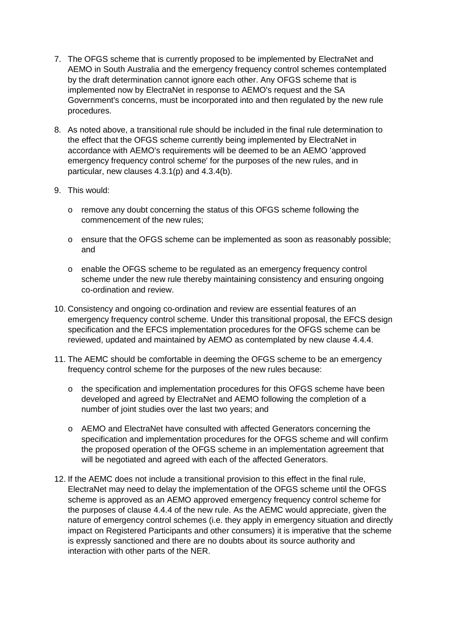- 7. The OFGS scheme that is currently proposed to be implemented by ElectraNet and AEMO in South Australia and the emergency frequency control schemes contemplated by the draft determination cannot ignore each other. Any OFGS scheme that is implemented now by ElectraNet in response to AEMO's request and the SA Government's concerns, must be incorporated into and then regulated by the new rule procedures.
- 8. As noted above, a transitional rule should be included in the final rule determination to the effect that the OFGS scheme currently being implemented by ElectraNet in accordance with AEMO's requirements will be deemed to be an AEMO 'approved emergency frequency control scheme' for the purposes of the new rules, and in particular, new clauses 4.3.1(p) and 4.3.4(b).
- 9. This would:
	- o remove any doubt concerning the status of this OFGS scheme following the commencement of the new rules;
	- o ensure that the OFGS scheme can be implemented as soon as reasonably possible; and
	- o enable the OFGS scheme to be regulated as an emergency frequency control scheme under the new rule thereby maintaining consistency and ensuring ongoing co-ordination and review.
- 10. Consistency and ongoing co-ordination and review are essential features of an emergency frequency control scheme. Under this transitional proposal, the EFCS design specification and the EFCS implementation procedures for the OFGS scheme can be reviewed, updated and maintained by AEMO as contemplated by new clause 4.4.4.
- 11. The AEMC should be comfortable in deeming the OFGS scheme to be an emergency frequency control scheme for the purposes of the new rules because:
	- o the specification and implementation procedures for this OFGS scheme have been developed and agreed by ElectraNet and AEMO following the completion of a number of joint studies over the last two years; and
	- o AEMO and ElectraNet have consulted with affected Generators concerning the specification and implementation procedures for the OFGS scheme and will confirm the proposed operation of the OFGS scheme in an implementation agreement that will be negotiated and agreed with each of the affected Generators.
- 12. If the AEMC does not include a transitional provision to this effect in the final rule, ElectraNet may need to delay the implementation of the OFGS scheme until the OFGS scheme is approved as an AEMO approved emergency frequency control scheme for the purposes of clause 4.4.4 of the new rule. As the AEMC would appreciate, given the nature of emergency control schemes (i.e. they apply in emergency situation and directly impact on Registered Participants and other consumers) it is imperative that the scheme is expressly sanctioned and there are no doubts about its source authority and interaction with other parts of the NER.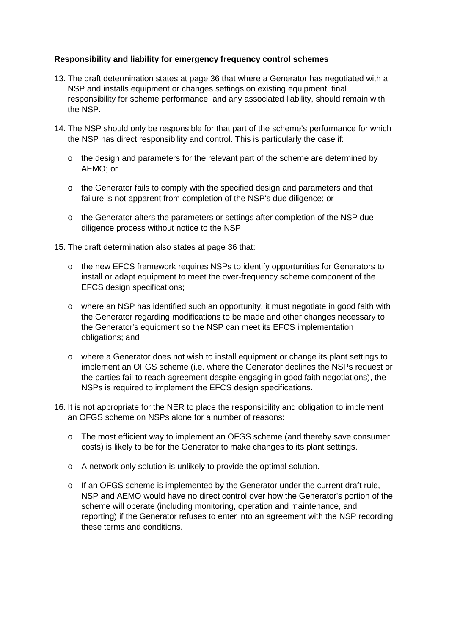## **Responsibility and liability for emergency frequency control schemes**

- 13. The draft determination states at page 36 that where a Generator has negotiated with a NSP and installs equipment or changes settings on existing equipment, final responsibility for scheme performance, and any associated liability, should remain with the NSP.
- 14. The NSP should only be responsible for that part of the scheme's performance for which the NSP has direct responsibility and control. This is particularly the case if:
	- $\circ$  the design and parameters for the relevant part of the scheme are determined by AEMO; or
	- $\circ$  the Generator fails to comply with the specified design and parameters and that failure is not apparent from completion of the NSP's due diligence; or
	- $\circ$  the Generator alters the parameters or settings after completion of the NSP due diligence process without notice to the NSP.
- 15. The draft determination also states at page 36 that:
	- o the new EFCS framework requires NSPs to identify opportunities for Generators to install or adapt equipment to meet the over-frequency scheme component of the EFCS design specifications;
	- $\circ$  where an NSP has identified such an opportunity, it must negotiate in good faith with the Generator regarding modifications to be made and other changes necessary to the Generator's equipment so the NSP can meet its EFCS implementation obligations; and
	- o where a Generator does not wish to install equipment or change its plant settings to implement an OFGS scheme (i.e. where the Generator declines the NSPs request or the parties fail to reach agreement despite engaging in good faith negotiations), the NSPs is required to implement the EFCS design specifications.
- 16. It is not appropriate for the NER to place the responsibility and obligation to implement an OFGS scheme on NSPs alone for a number of reasons:
	- o The most efficient way to implement an OFGS scheme (and thereby save consumer costs) is likely to be for the Generator to make changes to its plant settings.
	- o A network only solution is unlikely to provide the optimal solution.
	- $\circ$  If an OFGS scheme is implemented by the Generator under the current draft rule, NSP and AEMO would have no direct control over how the Generator's portion of the scheme will operate (including monitoring, operation and maintenance, and reporting) if the Generator refuses to enter into an agreement with the NSP recording these terms and conditions.